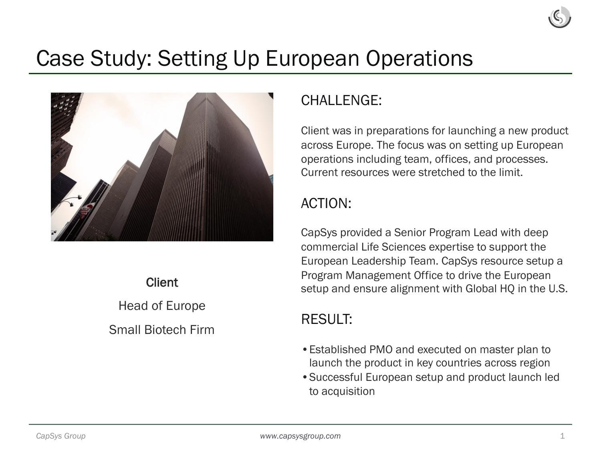# Case Study: Setting Up European Operations



**Client** Head of Europe Small Biotech Firm

## CHALL FNGF:

Client was in preparations for launching a new product across Europe. The focus was on setting up European operations including team, offices, and processes. Current resources were stretched to the limit.

### ACTION:

CapSys provided a Senior Program Lead with deep commercial Life Sciences expertise to support the European Leadership Team. CapSys resource setup a Program Management Office to drive the European setup and ensure alignment with Global HQ in the U.S.

### RESULT:

- •Established PMO and executed on master plan to launch the product in key countries across region
- •Successful European setup and product launch led to acquisition